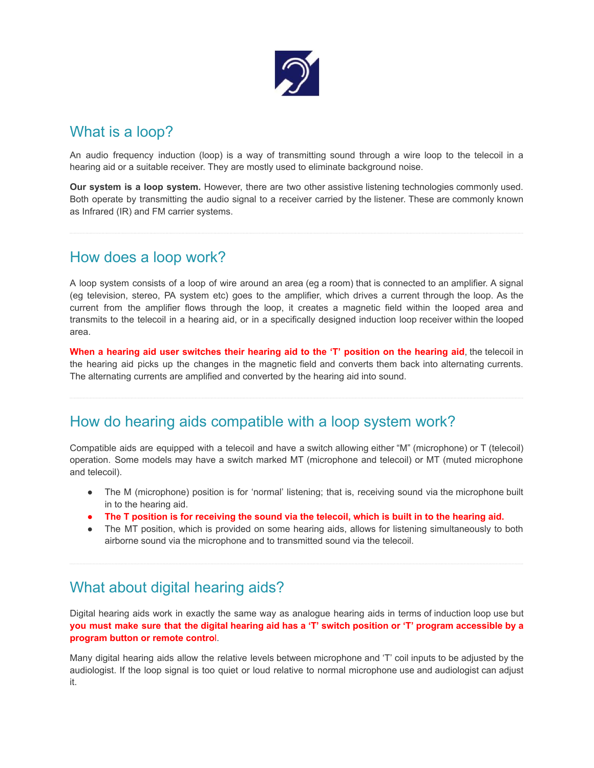

## What is a loop?

An audio frequency induction (loop) is a way of transmitting sound through a wire loop to the telecoil in a hearing aid or a suitable receiver. They are mostly used to eliminate background noise.

**Our system is a loop system.** However, there are two other assistive listening technologies commonly used. Both operate by transmitting the audio signal to a receiver carried by the listener. These are commonly known as Infrared (IR) and FM carrier systems.

### How does a loop work?

A loop system consists of a loop of wire around an area (eg a room) that is connected to an amplifier. A signal (eg television, stereo, PA system etc) goes to the amplifier, which drives a current through the loop. As the current from the amplifier flows through the loop, it creates a magnetic field within the looped area and transmits to the telecoil in a hearing aid, or in a specifically designed induction loop receiver within the looped area.

When a hearing aid user switches their hearing aid to the 'T' position on the hearing aid, the telecoil in the hearing aid picks up the changes in the magnetic field and converts them back into alternating currents. The alternating currents are amplified and converted by the hearing aid into sound.

#### How do hearing aids compatible with a loop system work?

Compatible aids are equipped with a telecoil and have a switch allowing either "M" (microphone) or T (telecoil) operation. Some models may have a switch marked MT (microphone and telecoil) or MT (muted microphone and telecoil).

- The M (microphone) position is for 'normal' listening; that is, receiving sound via the microphone built in to the hearing aid.
- The T position is for receiving the sound via the telecoil, which is built in to the hearing aid.
- The MT position, which is provided on some hearing aids, allows for listening simultaneously to both airborne sound via the microphone and to transmitted sound via the telecoil.

## What about digital hearing aids?

Digital hearing aids work in exactly the same way as analogue hearing aids in terms of induction loop use but you must make sure that the digital hearing aid has a 'T' switch position or 'T' program accessible by a **program button or remote contro**l.

Many digital hearing aids allow the relative levels between microphone and 'T' coil inputs to be adjusted by the audiologist. If the loop signal is too quiet or loud relative to normal microphone use and audiologist can adjust it.